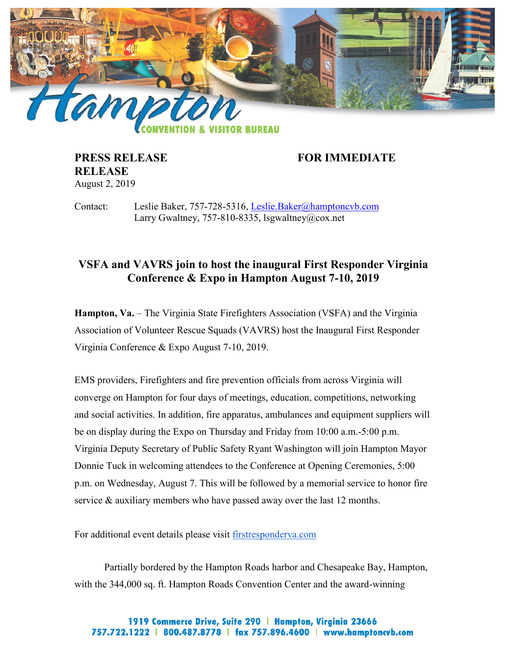

**RELEASE** August 2, 2019

**PRESS RELEASE FOR IMMEDIATE** 

Contact: Leslie Baker, 757-728-5316, [Leslie.Baker@hamptoncvb.com](mailto:Leslie.Baker@hamptoncvb.com) Larry Gwaltney, 757-810-8335, lsgwaltney@cox.net

## **VSFA and VAVRS join to host the inaugural First Responder Virginia Conference & Expo in Hampton August 7-10, 2019**

**Hampton, Va.** – The Virginia State Firefighters Association (VSFA) and the Virginia Association of Volunteer Rescue Squads (VAVRS) host the Inaugural First Responder Virginia Conference & Expo August 7-10, 2019.

EMS providers, Firefighters and fire prevention officials from across Virginia will converge on Hampton for four days of meetings, education, competitions, networking and social activities. In addition, fire apparatus, ambulances and equipment suppliers will be on display during the Expo on Thursday and Friday from 10:00 a.m.-5:00 p.m. Virginia Deputy Secretary of Public Safety Ryant Washington will join Hampton Mayor Donnie Tuck in welcoming attendees to the Conference at Opening Ceremonies, 5:00 p.m. on Wednesday, August 7. This will be followed by a memorial service to honor fire service & auxiliary members who have passed away over the last 12 months.

For additional event details please visit firstresponderva.com

Partially bordered by the Hampton Roads harbor and Chesapeake Bay, Hampton, with the 344,000 sq. ft. Hampton Roads Convention Center and the award-winning